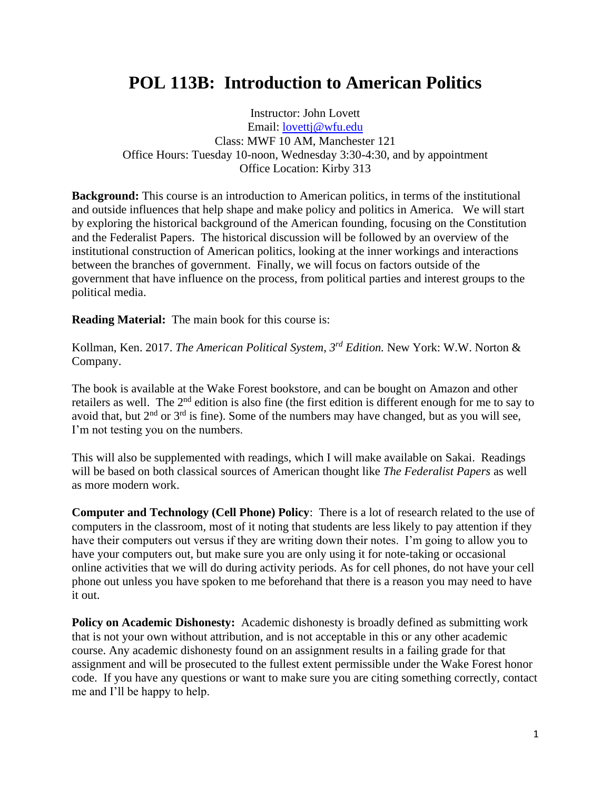## **POL 113B: Introduction to American Politics**

Instructor: John Lovett Email: [lovettj@wfu.edu](mailto:lovettj@wfu.edu) Class: MWF 10 AM, Manchester 121 Office Hours: Tuesday 10-noon, Wednesday 3:30-4:30, and by appointment Office Location: Kirby 313

**Background:** This course is an introduction to American politics, in terms of the institutional and outside influences that help shape and make policy and politics in America. We will start by exploring the historical background of the American founding, focusing on the Constitution and the Federalist Papers. The historical discussion will be followed by an overview of the institutional construction of American politics, looking at the inner workings and interactions between the branches of government. Finally, we will focus on factors outside of the government that have influence on the process, from political parties and interest groups to the political media.

**Reading Material:** The main book for this course is:

Kollman, Ken. 2017. *The American Political System, 3rd Edition.* New York: W.W. Norton & Company.

The book is available at the Wake Forest bookstore, and can be bought on Amazon and other retailers as well. The 2<sup>nd</sup> edition is also fine (the first edition is different enough for me to say to avoid that, but  $2<sup>nd</sup>$  or  $3<sup>rd</sup>$  is fine). Some of the numbers may have changed, but as you will see, I'm not testing you on the numbers.

This will also be supplemented with readings, which I will make available on Sakai. Readings will be based on both classical sources of American thought like *The Federalist Papers* as well as more modern work.

**Computer and Technology (Cell Phone) Policy**: There is a lot of research related to the use of computers in the classroom, most of it noting that students are less likely to pay attention if they have their computers out versus if they are writing down their notes. I'm going to allow you to have your computers out, but make sure you are only using it for note-taking or occasional online activities that we will do during activity periods. As for cell phones, do not have your cell phone out unless you have spoken to me beforehand that there is a reason you may need to have it out.

**Policy on Academic Dishonesty:** Academic dishonesty is broadly defined as submitting work that is not your own without attribution, and is not acceptable in this or any other academic course. Any academic dishonesty found on an assignment results in a failing grade for that assignment and will be prosecuted to the fullest extent permissible under the Wake Forest honor code. If you have any questions or want to make sure you are citing something correctly, contact me and I'll be happy to help.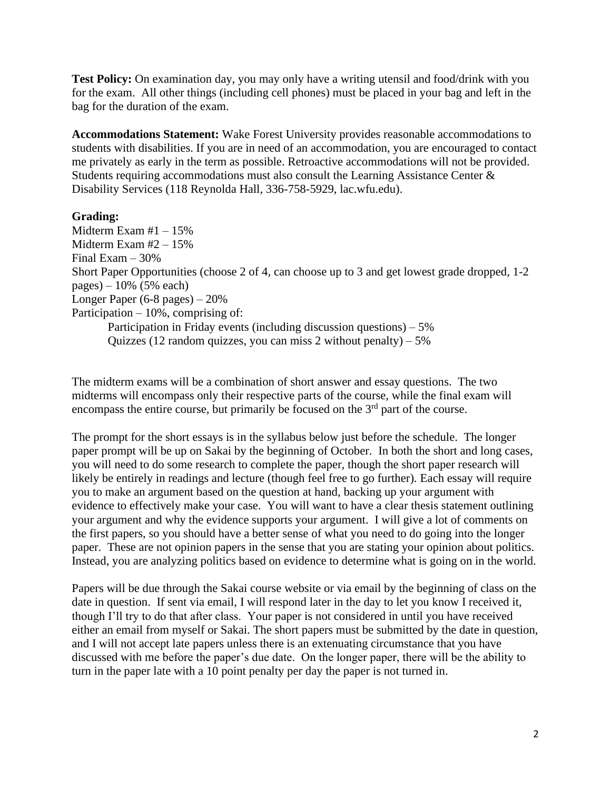**Test Policy:** On examination day, you may only have a writing utensil and food/drink with you for the exam. All other things (including cell phones) must be placed in your bag and left in the bag for the duration of the exam.

**Accommodations Statement:** Wake Forest University provides reasonable accommodations to students with disabilities. If you are in need of an accommodation, you are encouraged to contact me privately as early in the term as possible. Retroactive accommodations will not be provided. Students requiring accommodations must also consult the Learning Assistance Center & Disability Services (118 Reynolda Hall, 336-758-5929, lac.wfu.edu).

## **Grading:**

Midterm Exam #1 – 15% Midterm Exam #2 – 15% Final Exam – 30% Short Paper Opportunities (choose 2 of 4, can choose up to 3 and get lowest grade dropped, 1-2 pages) – 10% (5% each) Longer Paper (6-8 pages) – 20% Participation – 10%, comprising of: Participation in Friday events (including discussion questions) – 5% Quizzes (12 random quizzes, you can miss 2 without penalty)  $-5\%$ 

The midterm exams will be a combination of short answer and essay questions. The two midterms will encompass only their respective parts of the course, while the final exam will encompass the entire course, but primarily be focused on the  $3<sup>rd</sup>$  part of the course.

The prompt for the short essays is in the syllabus below just before the schedule. The longer paper prompt will be up on Sakai by the beginning of October. In both the short and long cases, you will need to do some research to complete the paper, though the short paper research will likely be entirely in readings and lecture (though feel free to go further). Each essay will require you to make an argument based on the question at hand, backing up your argument with evidence to effectively make your case. You will want to have a clear thesis statement outlining your argument and why the evidence supports your argument. I will give a lot of comments on the first papers, so you should have a better sense of what you need to do going into the longer paper. These are not opinion papers in the sense that you are stating your opinion about politics. Instead, you are analyzing politics based on evidence to determine what is going on in the world.

Papers will be due through the Sakai course website or via email by the beginning of class on the date in question. If sent via email, I will respond later in the day to let you know I received it, though I'll try to do that after class. Your paper is not considered in until you have received either an email from myself or Sakai. The short papers must be submitted by the date in question, and I will not accept late papers unless there is an extenuating circumstance that you have discussed with me before the paper's due date. On the longer paper, there will be the ability to turn in the paper late with a 10 point penalty per day the paper is not turned in.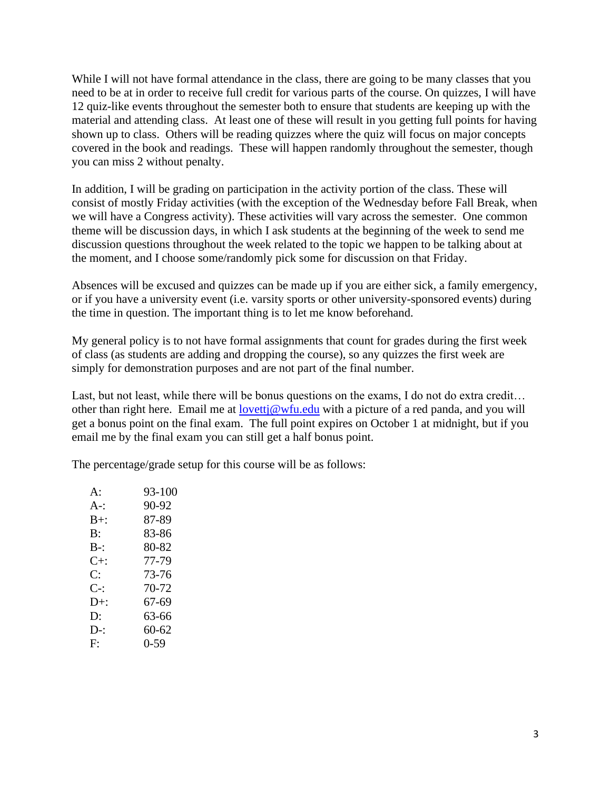While I will not have formal attendance in the class, there are going to be many classes that you need to be at in order to receive full credit for various parts of the course. On quizzes, I will have 12 quiz-like events throughout the semester both to ensure that students are keeping up with the material and attending class. At least one of these will result in you getting full points for having shown up to class. Others will be reading quizzes where the quiz will focus on major concepts covered in the book and readings. These will happen randomly throughout the semester, though you can miss 2 without penalty.

In addition, I will be grading on participation in the activity portion of the class. These will consist of mostly Friday activities (with the exception of the Wednesday before Fall Break, when we will have a Congress activity). These activities will vary across the semester. One common theme will be discussion days, in which I ask students at the beginning of the week to send me discussion questions throughout the week related to the topic we happen to be talking about at the moment, and I choose some/randomly pick some for discussion on that Friday.

Absences will be excused and quizzes can be made up if you are either sick, a family emergency, or if you have a university event (i.e. varsity sports or other university-sponsored events) during the time in question. The important thing is to let me know beforehand.

My general policy is to not have formal assignments that count for grades during the first week of class (as students are adding and dropping the course), so any quizzes the first week are simply for demonstration purposes and are not part of the final number.

Last, but not least, while there will be bonus questions on the exams, I do not do extra credit… other than right here. Email me at [lovettj@wfu.edu](mailto:lovettj@wfu.edu) with a picture of a red panda, and you will get a bonus point on the final exam. The full point expires on October 1 at midnight, but if you email me by the final exam you can still get a half bonus point.

The percentage/grade setup for this course will be as follows:

| 93-100 |
|--------|
| 90-92  |
| 87-89  |
| 83-86  |
| 80-82  |
| 77-79  |
| 73-76  |
| 70-72  |
| 67-69  |
| 63-66  |
| 60-62  |
| $0-59$ |
|        |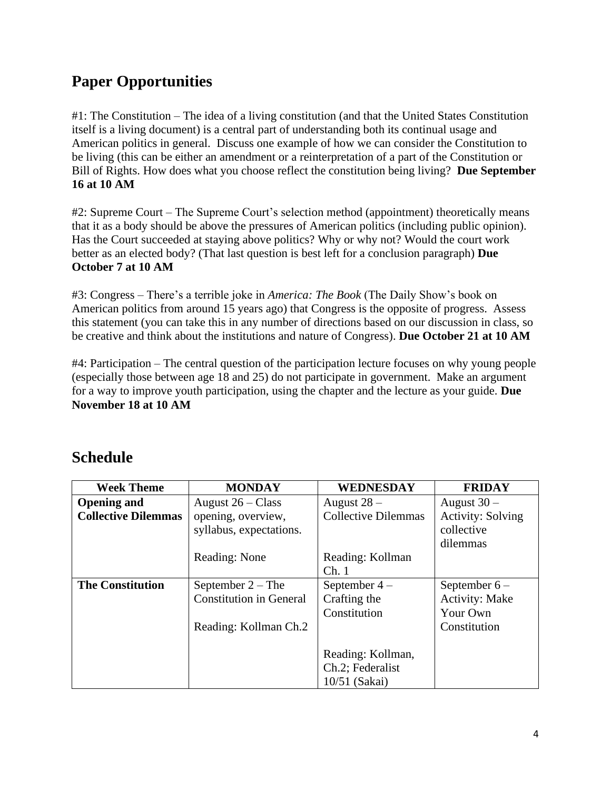## **Paper Opportunities**

#1: The Constitution – The idea of a living constitution (and that the United States Constitution itself is a living document) is a central part of understanding both its continual usage and American politics in general. Discuss one example of how we can consider the Constitution to be living (this can be either an amendment or a reinterpretation of a part of the Constitution or Bill of Rights. How does what you choose reflect the constitution being living? **Due September 16 at 10 AM**

#2: Supreme Court – The Supreme Court's selection method (appointment) theoretically means that it as a body should be above the pressures of American politics (including public opinion). Has the Court succeeded at staying above politics? Why or why not? Would the court work better as an elected body? (That last question is best left for a conclusion paragraph) **Due October 7 at 10 AM**

#3: Congress – There's a terrible joke in *America: The Book* (The Daily Show's book on American politics from around 15 years ago) that Congress is the opposite of progress. Assess this statement (you can take this in any number of directions based on our discussion in class, so be creative and think about the institutions and nature of Congress). **Due October 21 at 10 AM**

#4: Participation – The central question of the participation lecture focuses on why young people (especially those between age 18 and 25) do not participate in government. Make an argument for a way to improve youth participation, using the chapter and the lecture as your guide. **Due November 18 at 10 AM**

| <b>Week Theme</b>          | <b>MONDAY</b>                  | <b>WEDNESDAY</b>           | <b>FRIDAY</b>            |
|----------------------------|--------------------------------|----------------------------|--------------------------|
| <b>Opening and</b>         | August $26 - Class$            | August 28 -                | August $30 -$            |
| <b>Collective Dilemmas</b> | opening, overview,             | <b>Collective Dilemmas</b> | <b>Activity: Solving</b> |
|                            | syllabus, expectations.        |                            | collective               |
|                            |                                |                            | dilemmas                 |
|                            | Reading: None                  | Reading: Kollman           |                          |
|                            |                                | Ch.1                       |                          |
| <b>The Constitution</b>    | September $2 - The$            | September $4-$             | September $6-$           |
|                            | <b>Constitution in General</b> | Crafting the               | <b>Activity: Make</b>    |
|                            |                                | Constitution               | Your Own                 |
|                            | Reading: Kollman Ch.2          |                            | Constitution             |
|                            |                                |                            |                          |
|                            |                                | Reading: Kollman,          |                          |
|                            |                                | Ch.2; Federalist           |                          |
|                            |                                | 10/51 (Sakai)              |                          |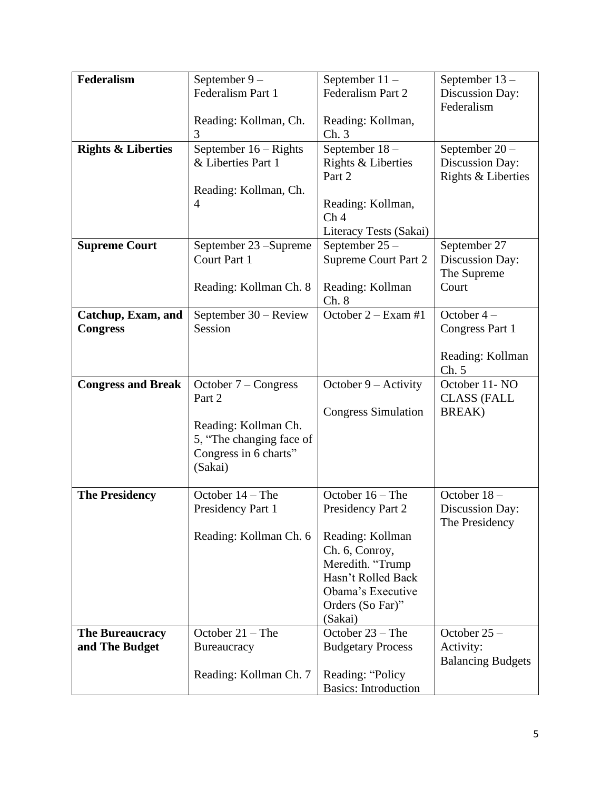| <b>Federalism</b>             | September 9-             | September $11 -$            | September 13-            |
|-------------------------------|--------------------------|-----------------------------|--------------------------|
|                               | Federalism Part 1        | Federalism Part 2           | Discussion Day:          |
|                               |                          |                             | Federalism               |
|                               | Reading: Kollman, Ch.    |                             |                          |
|                               |                          | Reading: Kollman,           |                          |
|                               | 3                        | Ch.3                        |                          |
| <b>Rights &amp; Liberties</b> | September $16 -$ Rights  | September 18-               | September 20-            |
|                               | & Liberties Part 1       | Rights & Liberties          | Discussion Day:          |
|                               |                          | Part 2                      | Rights & Liberties       |
|                               | Reading: Kollman, Ch.    |                             |                          |
|                               | 4                        | Reading: Kollman,           |                          |
|                               |                          | Ch <sub>4</sub>             |                          |
|                               |                          | Literacy Tests (Sakai)      |                          |
| <b>Supreme Court</b>          | September 23 – Supreme   | September 25 -              | September 27             |
|                               | Court Part 1             | <b>Supreme Court Part 2</b> | Discussion Day:          |
|                               |                          |                             | The Supreme              |
|                               | Reading: Kollman Ch. 8   | Reading: Kollman            | Court                    |
|                               |                          | Ch. 8                       |                          |
|                               |                          | October $2 - Exam$ #1       | October $4-$             |
| Catchup, Exam, and            | September 30 – Review    |                             |                          |
| <b>Congress</b>               | Session                  |                             | Congress Part 1          |
|                               |                          |                             |                          |
|                               |                          |                             | Reading: Kollman         |
|                               |                          |                             | Ch. 5                    |
| <b>Congress and Break</b>     | October $7$ – Congress   | October $9 -$ Activity      | October 11- NO           |
|                               | Part 2                   |                             | <b>CLASS (FALL</b>       |
|                               |                          | <b>Congress Simulation</b>  | BREAK)                   |
|                               | Reading: Kollman Ch.     |                             |                          |
|                               | 5, "The changing face of |                             |                          |
|                               | Congress in 6 charts"    |                             |                          |
|                               | (Sakai)                  |                             |                          |
|                               |                          |                             |                          |
| <b>The Presidency</b>         | October $14$ – The       | October $16$ – The          | October 18-              |
|                               | Presidency Part 1        | Presidency Part 2           | Discussion Day:          |
|                               |                          |                             | The Presidency           |
|                               | Reading: Kollman Ch. 6   | Reading: Kollman            |                          |
|                               |                          | Ch. 6, Conroy,              |                          |
|                               |                          | Meredith. "Trump            |                          |
|                               |                          | Hasn't Rolled Back          |                          |
|                               |                          | Obama's Executive           |                          |
|                               |                          |                             |                          |
|                               |                          | Orders (So Far)"            |                          |
|                               |                          | (Sakai)                     |                          |
| <b>The Bureaucracy</b>        | October $21$ – The       | October 23 - The            | October 25 -             |
| and The Budget                | Bureaucracy              | <b>Budgetary Process</b>    | Activity:                |
|                               |                          |                             | <b>Balancing Budgets</b> |
|                               | Reading: Kollman Ch. 7   | Reading: "Policy            |                          |
|                               |                          | <b>Basics:</b> Introduction |                          |